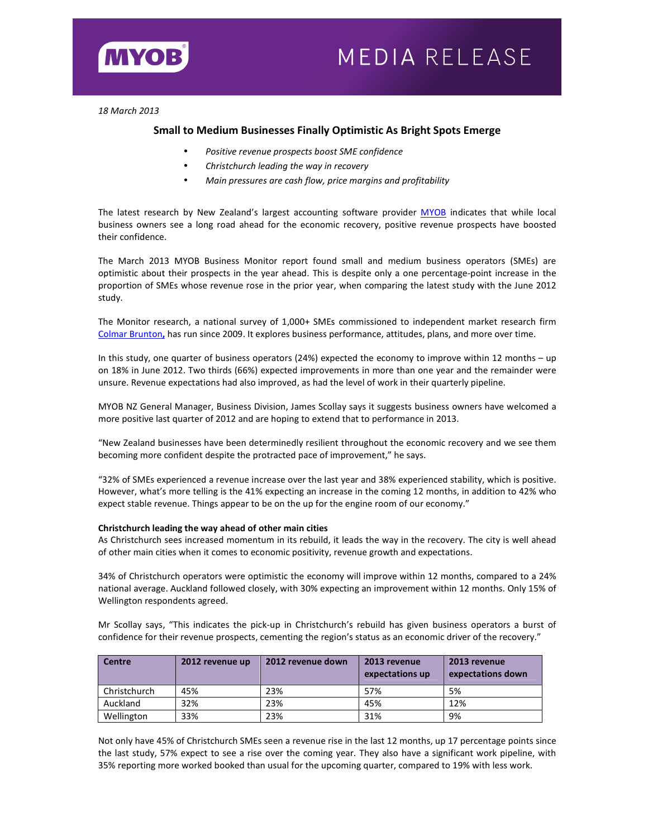

*18 March 2013* 

# **Small to Medium Businesses Finally Optimistic As Bright Spots Emerge**

- *Positive revenue prospects boost SME confidence*
- *Christchurch leading the way in recovery*
- *Main pressures are cash flow, price margins and profitability*

The latest research by New Zealand's largest accounting software provider MYOB indicates that while local business owners see a long road ahead for the economic recovery, positive revenue prospects have boosted their confidence.

The March 2013 MYOB Business Monitor report found small and medium business operators (SMEs) are optimistic about their prospects in the year ahead. This is despite only a one percentage-point increase in the proportion of SMEs whose revenue rose in the prior year, when comparing the latest study with the June 2012 study.

The Monitor research, a national survey of 1,000+ SMEs commissioned to independent market research firm Colmar Brunton**,** has run since 2009. It explores business performance, attitudes, plans, and more over time.

In this study, one quarter of business operators (24%) expected the economy to improve within 12 months – up on 18% in June 2012. Two thirds (66%) expected improvements in more than one year and the remainder were unsure. Revenue expectations had also improved, as had the level of work in their quarterly pipeline.

MYOB NZ General Manager, Business Division, James Scollay says it suggests business owners have welcomed a more positive last quarter of 2012 and are hoping to extend that to performance in 2013.

"New Zealand businesses have been determinedly resilient throughout the economic recovery and we see them becoming more confident despite the protracted pace of improvement," he says.

"32% of SMEs experienced a revenue increase over the last year and 38% experienced stability, which is positive. However, what's more telling is the 41% expecting an increase in the coming 12 months, in addition to 42% who expect stable revenue. Things appear to be on the up for the engine room of our economy."

# **Christchurch leading the way ahead of other main cities**

As Christchurch sees increased momentum in its rebuild, it leads the way in the recovery. The city is well ahead of other main cities when it comes to economic positivity, revenue growth and expectations.

34% of Christchurch operators were optimistic the economy will improve within 12 months, compared to a 24% national average. Auckland followed closely, with 30% expecting an improvement within 12 months. Only 15% of Wellington respondents agreed.

Mr Scollay says, "This indicates the pick-up in Christchurch's rebuild has given business operators a burst of confidence for their revenue prospects, cementing the region's status as an economic driver of the recovery."

| <b>Centre</b> | 2012 revenue up | 2012 revenue down | 2013 revenue<br>expectations up | 2013 revenue<br>expectations down |
|---------------|-----------------|-------------------|---------------------------------|-----------------------------------|
| Christchurch  | 45%             | 23%               | 57%                             | 5%                                |
| Auckland      | 32%             | 23%               | 45%                             | 12%                               |
| Wellington    | 33%             | 23%               | 31%                             | 9%                                |

Not only have 45% of Christchurch SMEs seen a revenue rise in the last 12 months, up 17 percentage points since the last study, 57% expect to see a rise over the coming year. They also have a significant work pipeline, with 35% reporting more worked booked than usual for the upcoming quarter, compared to 19% with less work.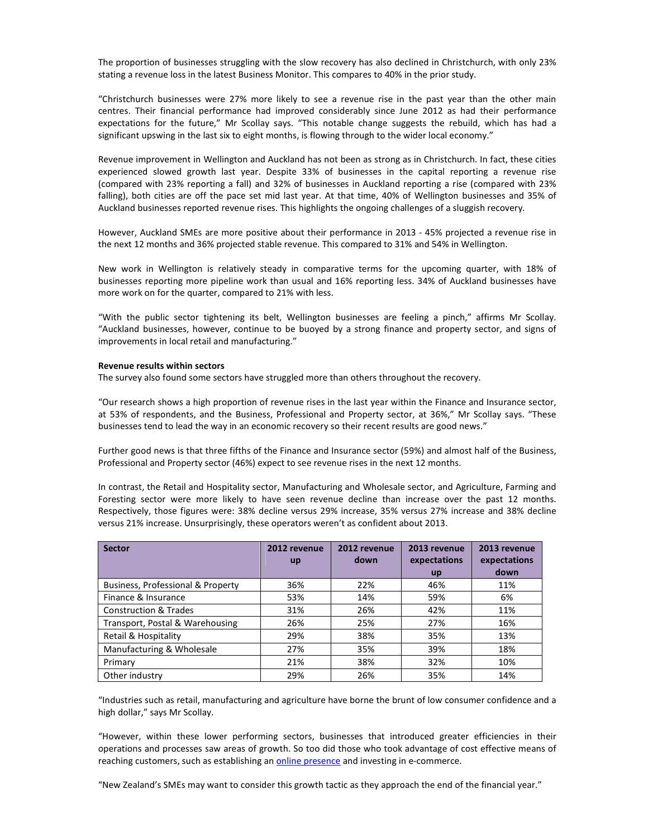The proportion of businesses struggling with the slow recovery has also declined in Christchurch, with only 23% stating a revenue loss in the latest Business Monitor. This compares to 40% in the prior study.

"Christchurch businesses were 27% more likely to see a revenue rise in the past year than the other main centres. Their financial performance had improved considerably since June 2012 as had their performance expectations for the future," Mr Scollay says. "This notable change suggests the rebuild, which has had a significant upswing in the last six to eight months, is flowing through to the wider local economy."

Revenue improvement in Wellington and Auckland has not been as strong as in Christchurch. In fact, these cities experienced slowed growth last year. Despite 33% of businesses in the capital reporting a revenue rise (compared with 23% reporting a fall) and 32% of businesses in Auckland reporting a rise (compared with 23% falling), both cities are off the pace set mid last year. At that time, 40% of Wellington businesses and 35% of Auckland businesses reported revenue rises. This highlights the ongoing challenges of a sluggish recovery.

However, Auckland SMEs are more positive about their performance in 2013 - 45% projected a revenue rise in the next 12 months and 36% projected stable revenue. This compared to 31% and 54% in Wellington.

New work in Wellington is relatively steady in comparative terms for the upcoming quarter, with 18% of businesses reporting more pipeline work than usual and 16% reporting less. 34% of Auckland businesses have more work on for the quarter, compared to 21% with less.

"With the public sector tightening its belt, Wellington businesses are feeling a pinch," affirms Mr Scollay. "Auckland businesses, however, continue to be buoyed by a strong finance and property sector, and signs of improvements in local retail and manufacturing."

## **Revenue results within sectors**

The survey also found some sectors have struggled more than others throughout the recovery.

"Our research shows a high proportion of revenue rises in the last year within the Finance and Insurance sector, at 53% of respondents, and the Business, Professional and Property sector, at 36%," Mr Scollay says. "These businesses tend to lead the way in an economic recovery so their recent results are good news."

Further good news is that three fifths of the Finance and Insurance sector (59%) and almost half of the Business, Professional and Property sector (46%) expect to see revenue rises in the next 12 months.

In contrast, the Retail and Hospitality sector, Manufacturing and Wholesale sector, and Agriculture, Farming and Foresting sector were more likely to have seen revenue decline than increase over the past 12 months. Respectively, those figures were: 38% decline versus 29% increase, 35% versus 27% increase and 38% decline versus 21% increase. Unsurprisingly, these operators weren't as confident about 2013.

| <b>Sector</b>                     | 2012 revenue | 2012 revenue | 2013 revenue | 2013 revenue |
|-----------------------------------|--------------|--------------|--------------|--------------|
|                                   | <b>up</b>    | down         | expectations | expectations |
|                                   |              |              | <b>up</b>    | down         |
| Business, Professional & Property | 36%          | 22%          | 46%          | 11%          |
| Finance & Insurance               | 53%          | 14%          | 59%          | 6%           |
| <b>Construction &amp; Trades</b>  | 31%          | 26%          | 42%          | 11%          |
| Transport, Postal & Warehousing   | 26%          | 25%          | 27%          | 16%          |
| Retail & Hospitality              | 29%          | 38%          | 35%          | 13%          |
| Manufacturing & Wholesale         | 27%          | 35%          | 39%          | 18%          |
| Primary                           | 21%          | 38%          | 32%          | 10%          |
| Other industry                    | 29%          | 26%          | 35%          | 14%          |

"Industries such as retail, manufacturing and agriculture have borne the brunt of low consumer confidence and a high dollar," says Mr Scollay.

"However, within these lower performing sectors, businesses that introduced greater efficiencies in their operations and processes saw areas of growth. So too did those who took advantage of cost effective means of reaching customers, such as establishing an *online presence* and investing in e-commerce.

"New Zealand's SMEs may want to consider this growth tactic as they approach the end of the financial year."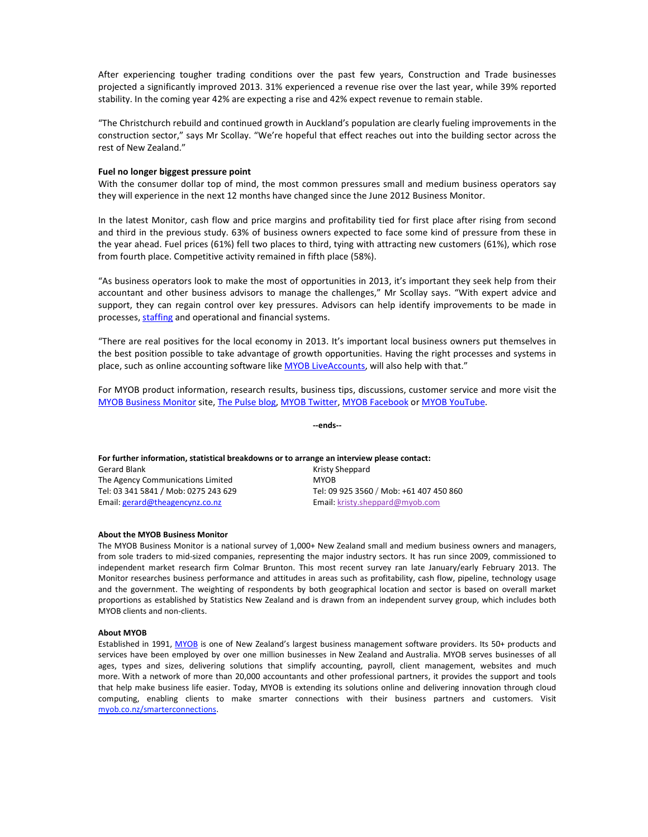After experiencing tougher trading conditions over the past few years, Construction and Trade businesses projected a significantly improved 2013. 31% experienced a revenue rise over the last year, while 39% reported stability. In the coming year 42% are expecting a rise and 42% expect revenue to remain stable.

"The Christchurch rebuild and continued growth in Auckland's population are clearly fueling improvements in the construction sector," says Mr Scollay. "We're hopeful that effect reaches out into the building sector across the rest of New Zealand."

### **Fuel no longer biggest pressure point**

With the consumer dollar top of mind, the most common pressures small and medium business operators say they will experience in the next 12 months have changed since the June 2012 Business Monitor.

In the latest Monitor, cash flow and price margins and profitability tied for first place after rising from second and third in the previous study. 63% of business owners expected to face some kind of pressure from these in the year ahead. Fuel prices (61%) fell two places to third, tying with attracting new customers (61%), which rose from fourth place. Competitive activity remained in fifth place (58%).

"As business operators look to make the most of opportunities in 2013, it's important they seek help from their accountant and other business advisors to manage the challenges," Mr Scollay says. "With expert advice and support, they can regain control over key pressures. Advisors can help identify improvements to be made in processes, staffing and operational and financial systems.

"There are real positives for the local economy in 2013. It's important local business owners put themselves in the best position possible to take advantage of growth opportunities. Having the right processes and systems in place, such as online accounting software like MYOB LiveAccounts, will also help with that."

For MYOB product information, research results, business tips, discussions, customer service and more visit the MYOB Business Monitor site, The Pulse blog, MYOB Twitter, MYOB Facebook or MYOB YouTube.

**--ends--** 

| For further information, statistical breakdowns or to arrange an interview please contact: |                                         |  |
|--------------------------------------------------------------------------------------------|-----------------------------------------|--|
| Gerard Blank                                                                               | Kristy Sheppard                         |  |
| The Agency Communications Limited                                                          | <b>MYOB</b>                             |  |
| Tel: 03 341 5841 / Mob: 0275 243 629                                                       | Tel: 09 925 3560 / Mob: +61 407 450 860 |  |
| Email: gerard@theagencynz.co.nz                                                            | Email: kristy.sheppard@myob.com         |  |

### **About the MYOB Business Monitor**

The MYOB Business Monitor is a national survey of 1,000+ New Zealand small and medium business owners and managers, from sole traders to mid-sized companies, representing the major industry sectors. It has run since 2009, commissioned to independent market research firm Colmar Brunton. This most recent survey ran late January/early February 2013. The Monitor researches business performance and attitudes in areas such as profitability, cash flow, pipeline, technology usage and the government. The weighting of respondents by both geographical location and sector is based on overall market proportions as established by Statistics New Zealand and is drawn from an independent survey group, which includes both MYOB clients and non-clients.

### **About MYOB**

Established in 1991, MYOB is one of New Zealand's largest business management software providers. Its 50+ products and services have been employed by over one million businesses in New Zealand and Australia. MYOB serves businesses of all ages, types and sizes, delivering solutions that simplify accounting, payroll, client management, websites and much more. With a network of more than 20,000 accountants and other professional partners, it provides the support and tools that help make business life easier. Today, MYOB is extending its solutions online and delivering innovation through cloud computing, enabling clients to make smarter connections with their business partners and customers. Visit myob.co.nz/smarterconnections.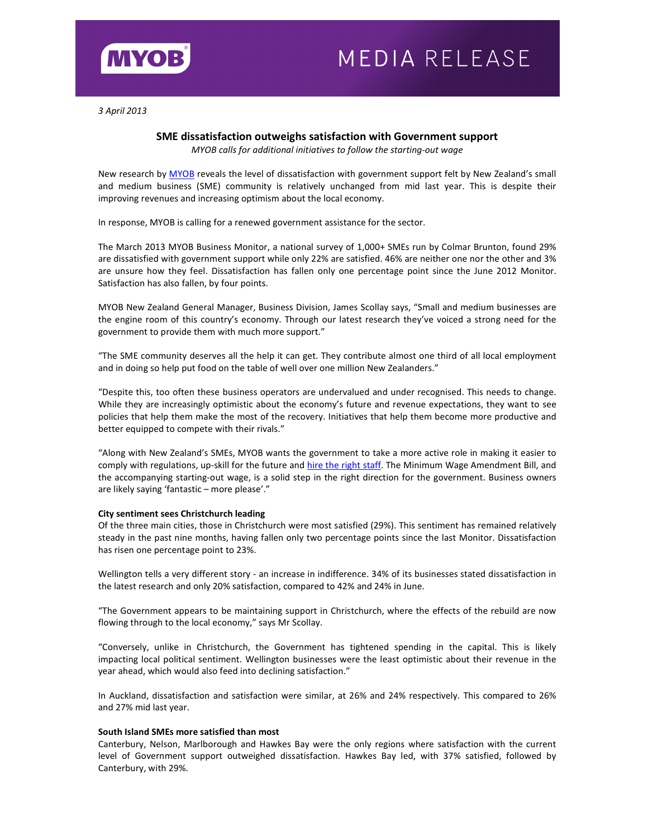

*3 April 2013* 

# **SME dissatisfaction outweighs satisfaction with Government support**

*MYOB calls for additional initiatives to follow the starting-out wage* 

New research by MYOB reveals the level of dissatisfaction with government support felt by New Zealand's small and medium business (SME) community is relatively unchanged from mid last year. This is despite their improving revenues and increasing optimism about the local economy.

In response, MYOB is calling for a renewed government assistance for the sector.

The March 2013 MYOB Business Monitor, a national survey of 1,000+ SMEs run by Colmar Brunton, found 29% are dissatisfied with government support while only 22% are satisfied. 46% are neither one nor the other and 3% are unsure how they feel. Dissatisfaction has fallen only one percentage point since the June 2012 Monitor. Satisfaction has also fallen, by four points.

MYOB New Zealand General Manager, Business Division, James Scollay says, "Small and medium businesses are the engine room of this country's economy. Through our latest research they've voiced a strong need for the government to provide them with much more support."

"The SME community deserves all the help it can get. They contribute almost one third of all local employment and in doing so help put food on the table of well over one million New Zealanders."

"Despite this, too often these business operators are undervalued and under recognised. This needs to change. While they are increasingly optimistic about the economy's future and revenue expectations, they want to see policies that help them make the most of the recovery. Initiatives that help them become more productive and better equipped to compete with their rivals."

"Along with New Zealand's SMEs, MYOB wants the government to take a more active role in making it easier to comply with regulations, up-skill for the future and hire the right staff. The Minimum Wage Amendment Bill, and the accompanying starting-out wage, is a solid step in the right direction for the government. Business owners are likely saying 'fantastic – more please'."

# **City sentiment sees Christchurch leading**

Of the three main cities, those in Christchurch were most satisfied (29%). This sentiment has remained relatively steady in the past nine months, having fallen only two percentage points since the last Monitor. Dissatisfaction has risen one percentage point to 23%.

Wellington tells a very different story - an increase in indifference. 34% of its businesses stated dissatisfaction in the latest research and only 20% satisfaction, compared to 42% and 24% in June.

"The Government appears to be maintaining support in Christchurch, where the effects of the rebuild are now flowing through to the local economy," says Mr Scollay.

"Conversely, unlike in Christchurch, the Government has tightened spending in the capital. This is likely impacting local political sentiment. Wellington businesses were the least optimistic about their revenue in the year ahead, which would also feed into declining satisfaction."

In Auckland, dissatisfaction and satisfaction were similar, at 26% and 24% respectively. This compared to 26% and 27% mid last year.

## **South Island SMEs more satisfied than most**

Canterbury, Nelson, Marlborough and Hawkes Bay were the only regions where satisfaction with the current level of Government support outweighed dissatisfaction. Hawkes Bay led, with 37% satisfied, followed by Canterbury, with 29%.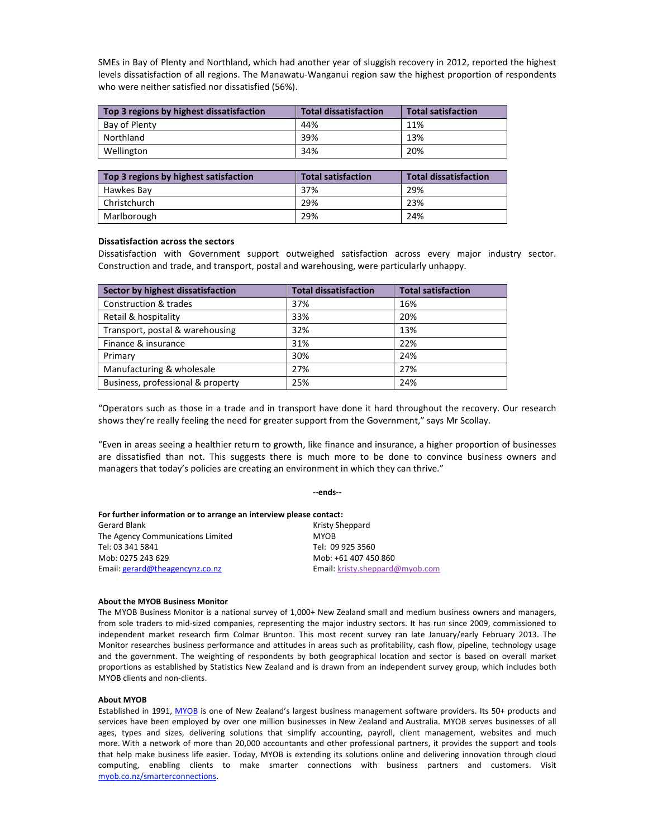SMEs in Bay of Plenty and Northland, which had another year of sluggish recovery in 2012, reported the highest levels dissatisfaction of all regions. The Manawatu-Wanganui region saw the highest proportion of respondents who were neither satisfied nor dissatisfied (56%).

| Top 3 regions by highest dissatisfaction | <b>Total dissatisfaction</b> | <b>Total satisfaction</b> |
|------------------------------------------|------------------------------|---------------------------|
| Bay of Plenty                            | 44%                          | 11%                       |
| Northland                                | 39%                          | 13%                       |
| Wellington                               | 34%                          | 20%                       |

| Top 3 regions by highest satisfaction | <b>Total satisfaction</b> | <b>Total dissatisfaction</b> |
|---------------------------------------|---------------------------|------------------------------|
| Hawkes Bay                            | 37%                       | 29%                          |
| Christchurch                          | 29%                       | 23%                          |
| Marlborough                           | 29%                       | 24%                          |

### **Dissatisfaction across the sectors**

Dissatisfaction with Government support outweighed satisfaction across every major industry sector. Construction and trade, and transport, postal and warehousing, were particularly unhappy.

| Sector by highest dissatisfaction | <b>Total dissatisfaction</b> | <b>Total satisfaction</b> |
|-----------------------------------|------------------------------|---------------------------|
| Construction & trades             | 37%                          | 16%                       |
| Retail & hospitality              | 33%                          | 20%                       |
| Transport, postal & warehousing   | 32%                          | 13%                       |
| Finance & insurance               | 31%                          | 22%                       |
| Primary                           | 30%                          | 24%                       |
| Manufacturing & wholesale         | 27%                          | 27%                       |
| Business, professional & property | 25%                          | 24%                       |

"Operators such as those in a trade and in transport have done it hard throughout the recovery. Our research shows they're really feeling the need for greater support from the Government," says Mr Scollay.

"Even in areas seeing a healthier return to growth, like finance and insurance, a higher proportion of businesses are dissatisfied than not. This suggests there is much more to be done to convince business owners and managers that today's policies are creating an environment in which they can thrive."

**--ends--** 

| For further information or to arrange an interview please contact: |                                 |
|--------------------------------------------------------------------|---------------------------------|
| Gerard Blank                                                       | Kristy Sheppard                 |
| The Agency Communications Limited                                  | <b>MYOB</b>                     |
| Tel: 03 341 5841                                                   | Tel: 09 925 3560                |
| Mob: 0275 243 629                                                  | Mob: +61 407 450 860            |
| Email: gerard@theagencynz.co.nz                                    | Email: kristy.sheppard@myob.com |

### **About the MYOB Business Monitor**

The MYOB Business Monitor is a national survey of 1,000+ New Zealand small and medium business owners and managers, from sole traders to mid-sized companies, representing the major industry sectors. It has run since 2009, commissioned to independent market research firm Colmar Brunton. This most recent survey ran late January/early February 2013. The Monitor researches business performance and attitudes in areas such as profitability, cash flow, pipeline, technology usage and the government. The weighting of respondents by both geographical location and sector is based on overall market proportions as established by Statistics New Zealand and is drawn from an independent survey group, which includes both MYOB clients and non-clients.

### **About MYOB**

Established in 1991, MYOB is one of New Zealand's largest business management software providers. Its 50+ products and services have been employed by over one million businesses in New Zealand and Australia. MYOB serves businesses of all ages, types and sizes, delivering solutions that simplify accounting, payroll, client management, websites and much more. With a network of more than 20,000 accountants and other professional partners, it provides the support and tools that help make business life easier. Today, MYOB is extending its solutions online and delivering innovation through cloud computing, enabling clients to make smarter connections with business partners and customers. Visit myob.co.nz/smarterconnections.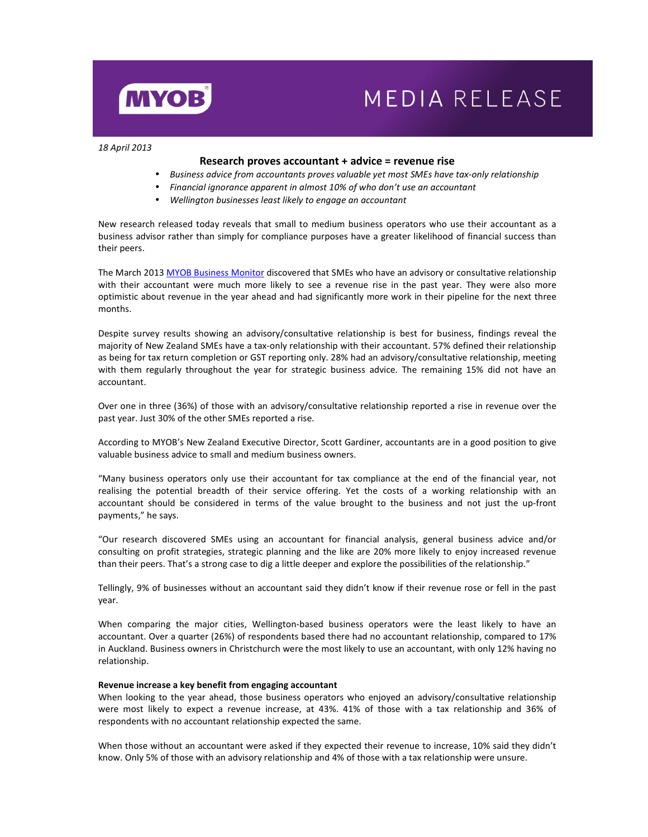

# **MEDIA RELEASE**

*18 April 2013* 

## **Research proves accountant + advice = revenue rise**

- *Business advice from accountants proves valuable yet most SMEs have tax-only relationship*
- *Financial ignorance apparent in almost 10% of who don't use an accountant*
- *Wellington businesses least likely to engage an accountant*

New research released today reveals that small to medium business operators who use their accountant as a business advisor rather than simply for compliance purposes have a greater likelihood of financial success than their peers.

The March 2013 MYOB Business Monitor discovered that SMEs who have an advisory or consultative relationship with their accountant were much more likely to see a revenue rise in the past year. They were also more optimistic about revenue in the year ahead and had significantly more work in their pipeline for the next three months.

Despite survey results showing an advisory/consultative relationship is best for business, findings reveal the majority of New Zealand SMEs have a tax-only relationship with their accountant. 57% defined their relationship as being for tax return completion or GST reporting only. 28% had an advisory/consultative relationship, meeting with them regularly throughout the year for strategic business advice. The remaining 15% did not have an accountant.

Over one in three (36%) of those with an advisory/consultative relationship reported a rise in revenue over the past year. Just 30% of the other SMEs reported a rise.

According to MYOB's New Zealand Executive Director, Scott Gardiner, accountants are in a good position to give valuable business advice to small and medium business owners.

"Many business operators only use their accountant for tax compliance at the end of the financial year, not realising the potential breadth of their service offering. Yet the costs of a working relationship with an accountant should be considered in terms of the value brought to the business and not just the up-front payments," he says.

"Our research discovered SMEs using an accountant for financial analysis, general business advice and/or consulting on profit strategies, strategic planning and the like are 20% more likely to enjoy increased revenue than their peers. That's a strong case to dig a little deeper and explore the possibilities of the relationship."

Tellingly, 9% of businesses without an accountant said they didn't know if their revenue rose or fell in the past year.

When comparing the major cities, Wellington-based business operators were the least likely to have an accountant. Over a quarter (26%) of respondents based there had no accountant relationship, compared to 17% in Auckland. Business owners in Christchurch were the most likely to use an accountant, with only 12% having no relationship.

### **Revenue increase a key benefit from engaging accountant**

When looking to the year ahead, those business operators who enjoyed an advisory/consultative relationship were most likely to expect a revenue increase, at 43%. 41% of those with a tax relationship and 36% of respondents with no accountant relationship expected the same.

When those without an accountant were asked if they expected their revenue to increase, 10% said they didn't know. Only 5% of those with an advisory relationship and 4% of those with a tax relationship were unsure.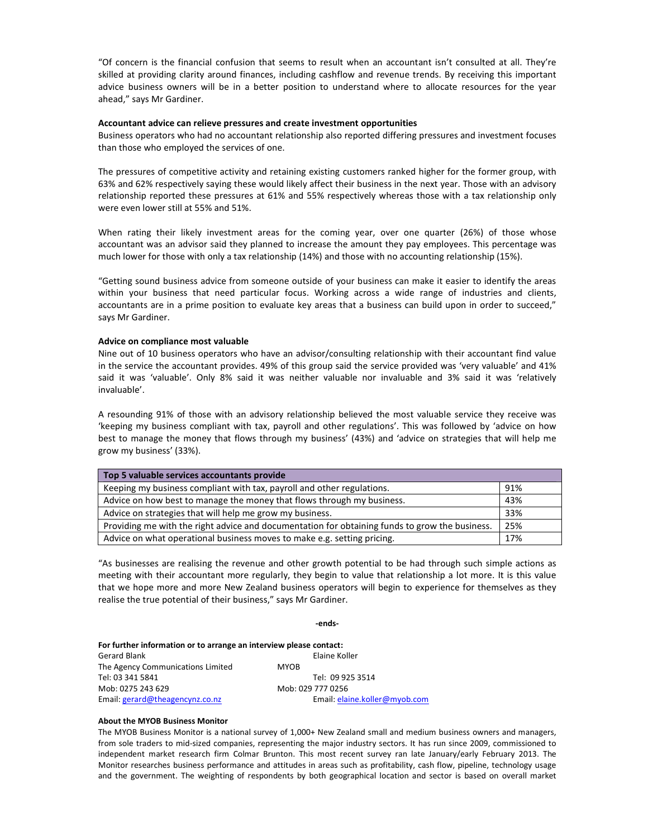"Of concern is the financial confusion that seems to result when an accountant isn't consulted at all. They're skilled at providing clarity around finances, including cashflow and revenue trends. By receiving this important advice business owners will be in a better position to understand where to allocate resources for the year ahead," says Mr Gardiner.

### **Accountant advice can relieve pressures and create investment opportunities**

Business operators who had no accountant relationship also reported differing pressures and investment focuses than those who employed the services of one.

The pressures of competitive activity and retaining existing customers ranked higher for the former group, with 63% and 62% respectively saying these would likely affect their business in the next year. Those with an advisory relationship reported these pressures at 61% and 55% respectively whereas those with a tax relationship only were even lower still at 55% and 51%.

When rating their likely investment areas for the coming year, over one quarter (26%) of those whose accountant was an advisor said they planned to increase the amount they pay employees. This percentage was much lower for those with only a tax relationship (14%) and those with no accounting relationship (15%).

"Getting sound business advice from someone outside of your business can make it easier to identify the areas within your business that need particular focus. Working across a wide range of industries and clients, accountants are in a prime position to evaluate key areas that a business can build upon in order to succeed," says Mr Gardiner.

### **Advice on compliance most valuable**

Nine out of 10 business operators who have an advisor/consulting relationship with their accountant find value in the service the accountant provides. 49% of this group said the service provided was 'very valuable' and 41% said it was 'valuable'. Only 8% said it was neither valuable nor invaluable and 3% said it was 'relatively invaluable'.

A resounding 91% of those with an advisory relationship believed the most valuable service they receive was 'keeping my business compliant with tax, payroll and other regulations'. This was followed by 'advice on how best to manage the money that flows through my business' (43%) and 'advice on strategies that will help me grow my business' (33%).

| Top 5 valuable services accountants provide                                                    |     |  |
|------------------------------------------------------------------------------------------------|-----|--|
| Keeping my business compliant with tax, payroll and other regulations.                         | 91% |  |
| Advice on how best to manage the money that flows through my business.                         | 43% |  |
| Advice on strategies that will help me grow my business.                                       | 33% |  |
| Providing me with the right advice and documentation for obtaining funds to grow the business. | 25% |  |
| Advice on what operational business moves to make e.g. setting pricing.                        | 17% |  |

"As businesses are realising the revenue and other growth potential to be had through such simple actions as meeting with their accountant more regularly, they begin to value that relationship a lot more. It is this value that we hope more and more New Zealand business operators will begin to experience for themselves as they realise the true potential of their business," says Mr Gardiner.

**-ends-**

| For further information or to arrange an interview please contact: |                               |  |  |
|--------------------------------------------------------------------|-------------------------------|--|--|
| Gerard Blank                                                       | Elaine Koller                 |  |  |
| The Agency Communications Limited                                  | <b>MYOB</b>                   |  |  |
| Tel: 03 341 5841                                                   | Tel: 09 925 3514              |  |  |
| Mob: 0275 243 629                                                  | Mob: 029 777 0256             |  |  |
| Email: gerard@theagencynz.co.nz                                    | Email: elaine.koller@myob.com |  |  |

### **About the MYOB Business Monitor**

The MYOB Business Monitor is a national survey of 1,000+ New Zealand small and medium business owners and managers, from sole traders to mid-sized companies, representing the major industry sectors. It has run since 2009, commissioned to independent market research firm Colmar Brunton. This most recent survey ran late January/early February 2013. The Monitor researches business performance and attitudes in areas such as profitability, cash flow, pipeline, technology usage and the government. The weighting of respondents by both geographical location and sector is based on overall market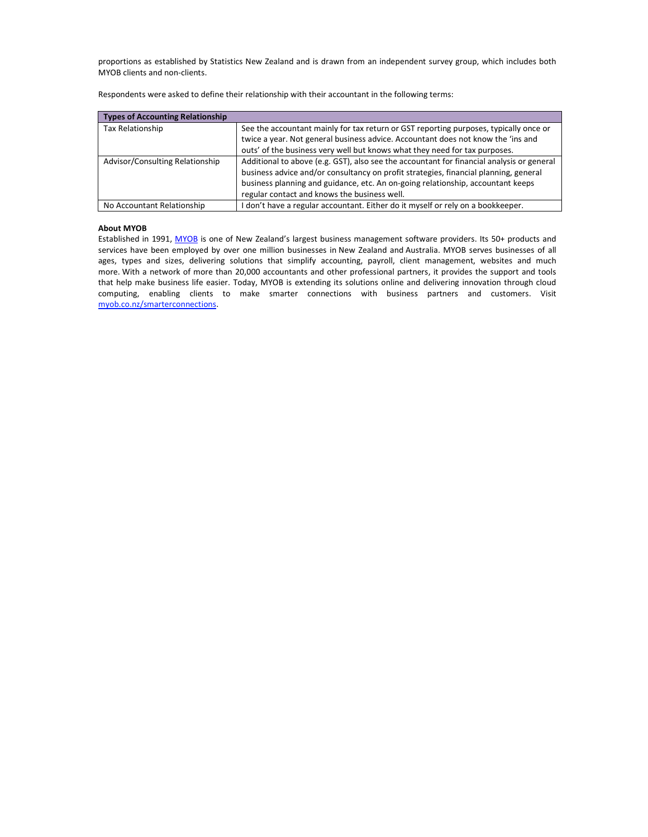proportions as established by Statistics New Zealand and is drawn from an independent survey group, which includes both MYOB clients and non-clients.

| <b>Types of Accounting Relationship</b> |                                                                                           |
|-----------------------------------------|-------------------------------------------------------------------------------------------|
| Tax Relationship                        | See the accountant mainly for tax return or GST reporting purposes, typically once or     |
|                                         | twice a year. Not general business advice. Accountant does not know the 'ins and          |
|                                         | outs' of the business very well but knows what they need for tax purposes.                |
| Advisor/Consulting Relationship         | Additional to above (e.g. GST), also see the accountant for financial analysis or general |
|                                         | business advice and/or consultancy on profit strategies, financial planning, general      |
|                                         | business planning and guidance, etc. An on-going relationship, accountant keeps           |
|                                         | regular contact and knows the business well.                                              |
| No Accountant Relationship              | I don't have a regular accountant. Either do it myself or rely on a bookkeeper.           |

Respondents were asked to define their relationship with their accountant in the following terms:

### **About MYOB**

Established in 1991, MYOB is one of New Zealand's largest business management software providers. Its 50+ products and services have been employed by over one million businesses in New Zealand and Australia. MYOB serves businesses of all ages, types and sizes, delivering solutions that simplify accounting, payroll, client management, websites and much more. With a network of more than 20,000 accountants and other professional partners, it provides the support and tools that help make business life easier. Today, MYOB is extending its solutions online and delivering innovation through cloud computing, enabling clients to make smarter connections with business partners and customers. Visit myob.co.nz/smarterconnections.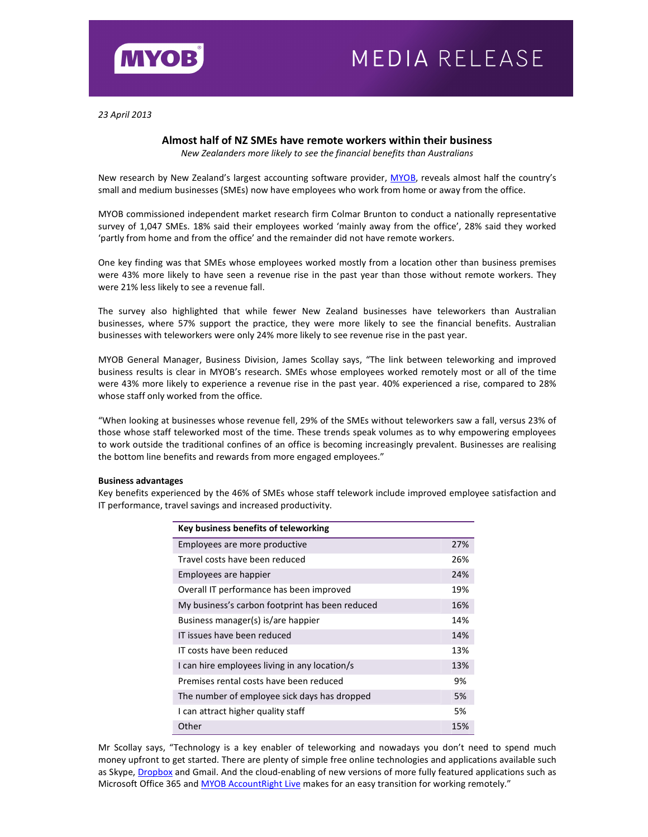

*23 April 2013*

# **Almost half of NZ SMEs have remote workers within their business**

*New Zealanders more likely to see the financial benefits than Australians* 

New research by New Zealand's largest accounting software provider, MYOB, reveals almost half the country's small and medium businesses (SMEs) now have employees who work from home or away from the office.

MYOB commissioned independent market research firm Colmar Brunton to conduct a nationally representative survey of 1,047 SMEs. 18% said their employees worked 'mainly away from the office', 28% said they worked 'partly from home and from the office' and the remainder did not have remote workers.

One key finding was that SMEs whose employees worked mostly from a location other than business premises were 43% more likely to have seen a revenue rise in the past year than those without remote workers. They were 21% less likely to see a revenue fall.

The survey also highlighted that while fewer New Zealand businesses have teleworkers than Australian businesses, where 57% support the practice, they were more likely to see the financial benefits. Australian businesses with teleworkers were only 24% more likely to see revenue rise in the past year.

MYOB General Manager, Business Division, James Scollay says, "The link between teleworking and improved business results is clear in MYOB's research. SMEs whose employees worked remotely most or all of the time were 43% more likely to experience a revenue rise in the past year. 40% experienced a rise, compared to 28% whose staff only worked from the office.

"When looking at businesses whose revenue fell, 29% of the SMEs without teleworkers saw a fall, versus 23% of those whose staff teleworked most of the time. These trends speak volumes as to why empowering employees to work outside the traditional confines of an office is becoming increasingly prevalent. Businesses are realising the bottom line benefits and rewards from more engaged employees."

## **Business advantages**

Key benefits experienced by the 46% of SMEs whose staff telework include improved employee satisfaction and IT performance, travel savings and increased productivity.

| Key business benefits of teleworking            |     |
|-------------------------------------------------|-----|
| Employees are more productive                   | 27% |
| Travel costs have been reduced                  | 26% |
| Employees are happier                           | 24% |
| Overall IT performance has been improved        | 19% |
| My business's carbon footprint has been reduced | 16% |
| Business manager(s) is/are happier              | 14% |
| IT issues have been reduced                     | 14% |
| IT costs have been reduced                      | 13% |
| I can hire employees living in any location/s   | 13% |
| Premises rental costs have been reduced         | 9%  |
| The number of employee sick days has dropped    | 5%  |
| I can attract higher quality staff              | 5%  |
| Other                                           | 15% |

Mr Scollay says, "Technology is a key enabler of teleworking and nowadays you don't need to spend much money upfront to get started. There are plenty of simple free online technologies and applications available such as Skype, Dropbox and Gmail. And the cloud-enabling of new versions of more fully featured applications such as Microsoft Office 365 and MYOB AccountRight Live makes for an easy transition for working remotely."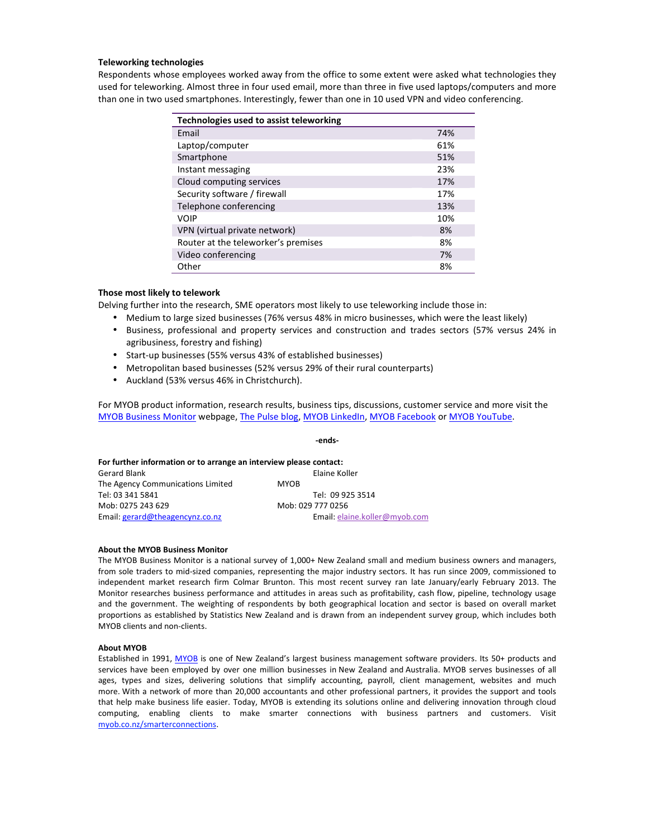## **Teleworking technologies**

Respondents whose employees worked away from the office to some extent were asked what technologies they used for teleworking. Almost three in four used email, more than three in five used laptops/computers and more than one in two used smartphones. Interestingly, fewer than one in 10 used VPN and video conferencing.

| Technologies used to assist teleworking |     |
|-----------------------------------------|-----|
| Email                                   | 74% |
| Laptop/computer                         | 61% |
| Smartphone                              | 51% |
| Instant messaging                       | 23% |
| Cloud computing services                | 17% |
| Security software / firewall            | 17% |
| Telephone conferencing                  | 13% |
| <b>VOIP</b>                             | 10% |
| VPN (virtual private network)           | 8%  |
| Router at the teleworker's premises     | 8%  |
| Video conferencing                      | 7%  |
| Other                                   | 8%  |

## **Those most likely to telework**

Delving further into the research, SME operators most likely to use teleworking include those in:

- Medium to large sized businesses (76% versus 48% in micro businesses, which were the least likely)
- Business, professional and property services and construction and trades sectors (57% versus 24% in agribusiness, forestry and fishing)
- Start-up businesses (55% versus 43% of established businesses)
- Metropolitan based businesses (52% versus 29% of their rural counterparts)
- Auckland (53% versus 46% in Christchurch).

For MYOB product information, research results, business tips, discussions, customer service and more visit the MYOB Business Monitor webpage, The Pulse blog, MYOB LinkedIn, MYOB Facebook or MYOB YouTube.

|                                                                    | -ends-                        |  |  |  |  |
|--------------------------------------------------------------------|-------------------------------|--|--|--|--|
| For further information or to arrange an interview please contact: |                               |  |  |  |  |
| Gerard Blank                                                       | Elaine Koller                 |  |  |  |  |
| The Agency Communications Limited                                  | <b>MYOB</b>                   |  |  |  |  |
| Tel: 03 341 5841                                                   | Tel: 09 925 3514              |  |  |  |  |
| Mob: 0275 243 629                                                  | Mob: 029 777 0256             |  |  |  |  |
| Email: gerard@theagencynz.co.nz                                    | Email: elaine.koller@myob.com |  |  |  |  |

### **About the MYOB Business Monitor**

The MYOB Business Monitor is a national survey of 1,000+ New Zealand small and medium business owners and managers, from sole traders to mid-sized companies, representing the major industry sectors. It has run since 2009, commissioned to independent market research firm Colmar Brunton. This most recent survey ran late January/early February 2013. The Monitor researches business performance and attitudes in areas such as profitability, cash flow, pipeline, technology usage and the government. The weighting of respondents by both geographical location and sector is based on overall market proportions as established by Statistics New Zealand and is drawn from an independent survey group, which includes both MYOB clients and non-clients.

### **About MYOB**

Established in 1991, MYOB is one of New Zealand's largest business management software providers. Its 50+ products and services have been employed by over one million businesses in New Zealand and Australia. MYOB serves businesses of all ages, types and sizes, delivering solutions that simplify accounting, payroll, client management, websites and much more. With a network of more than 20,000 accountants and other professional partners, it provides the support and tools that help make business life easier. Today, MYOB is extending its solutions online and delivering innovation through cloud computing, enabling clients to make smarter connections with business partners and customers. Visit myob.co.nz/smarterconnections.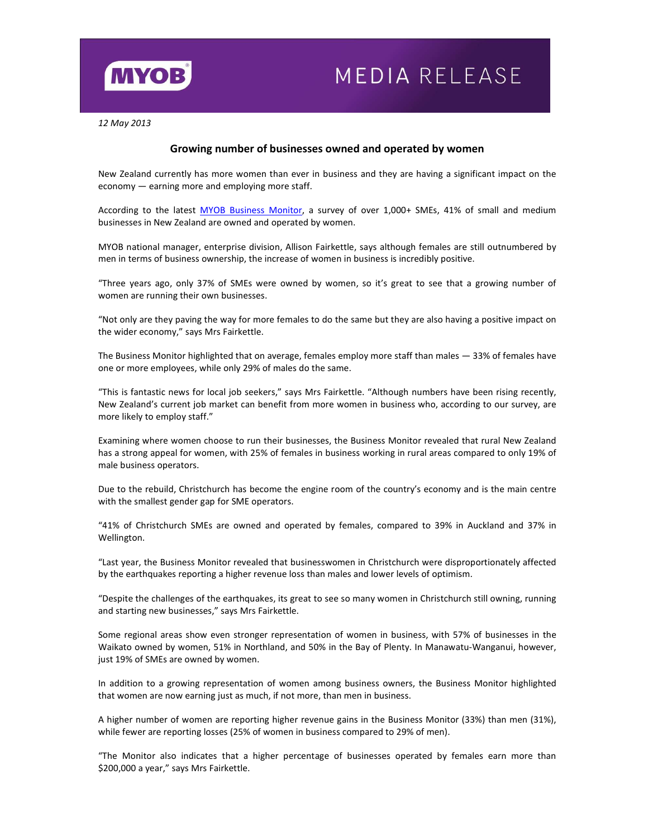

# MEDIA RELEASE

*12 May 2013* 

# **Growing number of businesses owned and operated by women**

New Zealand currently has more women than ever in business and they are having a significant impact on the economy — earning more and employing more staff.

According to the latest MYOB Business Monitor, a survey of over 1,000+ SMEs, 41% of small and medium businesses in New Zealand are owned and operated by women.

MYOB national manager, enterprise division, Allison Fairkettle, says although females are still outnumbered by men in terms of business ownership, the increase of women in business is incredibly positive.

"Three years ago, only 37% of SMEs were owned by women, so it's great to see that a growing number of women are running their own businesses.

"Not only are they paving the way for more females to do the same but they are also having a positive impact on the wider economy," says Mrs Fairkettle.

The Business Monitor highlighted that on average, females employ more staff than males — 33% of females have one or more employees, while only 29% of males do the same.

"This is fantastic news for local job seekers," says Mrs Fairkettle. "Although numbers have been rising recently, New Zealand's current job market can benefit from more women in business who, according to our survey, are more likely to employ staff."

Examining where women choose to run their businesses, the Business Monitor revealed that rural New Zealand has a strong appeal for women, with 25% of females in business working in rural areas compared to only 19% of male business operators.

Due to the rebuild, Christchurch has become the engine room of the country's economy and is the main centre with the smallest gender gap for SME operators.

"41% of Christchurch SMEs are owned and operated by females, compared to 39% in Auckland and 37% in Wellington.

"Last year, the Business Monitor revealed that businesswomen in Christchurch were disproportionately affected by the earthquakes reporting a higher revenue loss than males and lower levels of optimism.

"Despite the challenges of the earthquakes, its great to see so many women in Christchurch still owning, running and starting new businesses," says Mrs Fairkettle.

Some regional areas show even stronger representation of women in business, with 57% of businesses in the Waikato owned by women, 51% in Northland, and 50% in the Bay of Plenty. In Manawatu-Wanganui, however, just 19% of SMEs are owned by women.

In addition to a growing representation of women among business owners, the Business Monitor highlighted that women are now earning just as much, if not more, than men in business.

A higher number of women are reporting higher revenue gains in the Business Monitor (33%) than men (31%), while fewer are reporting losses (25% of women in business compared to 29% of men).

"The Monitor also indicates that a higher percentage of businesses operated by females earn more than \$200,000 a year," says Mrs Fairkettle.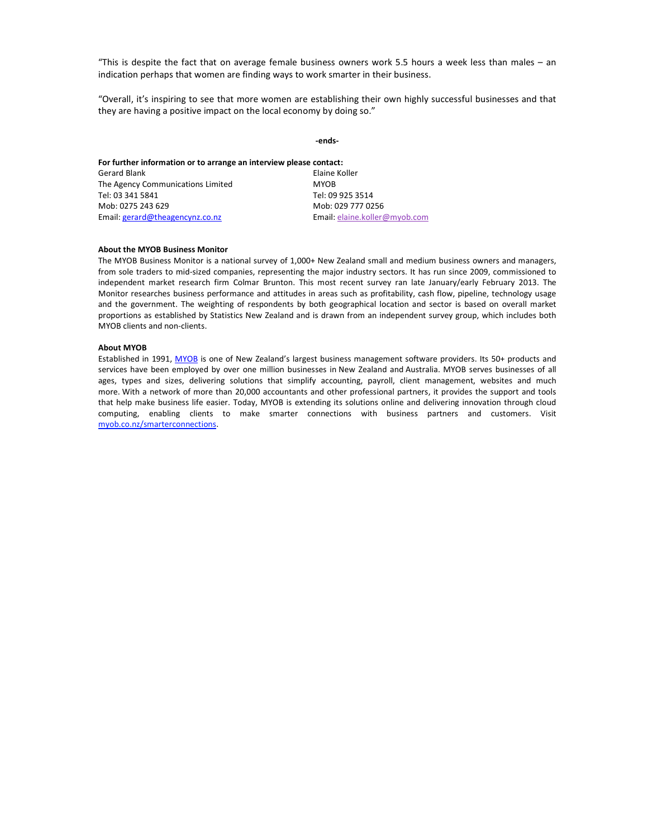"This is despite the fact that on average female business owners work 5.5 hours a week less than males – an indication perhaps that women are finding ways to work smarter in their business.

"Overall, it's inspiring to see that more women are establishing their own highly successful businesses and that they are having a positive impact on the local economy by doing so."

|                                                                    | -ends-                        |  |  |  |
|--------------------------------------------------------------------|-------------------------------|--|--|--|
| For further information or to arrange an interview please contact: |                               |  |  |  |
| Gerard Blank                                                       | Elaine Koller                 |  |  |  |
| The Agency Communications Limited                                  | <b>MYOB</b>                   |  |  |  |
| Tel: 03 341 5841                                                   | Tel: 09 925 3514              |  |  |  |
| Mob: 0275 243 629                                                  | Mob: 029 777 0256             |  |  |  |
| Email: gerard@theagencynz.co.nz                                    | Email: elaine.koller@myob.com |  |  |  |

### **About the MYOB Business Monitor**

The MYOB Business Monitor is a national survey of 1,000+ New Zealand small and medium business owners and managers, from sole traders to mid-sized companies, representing the major industry sectors. It has run since 2009, commissioned to independent market research firm Colmar Brunton. This most recent survey ran late January/early February 2013. The Monitor researches business performance and attitudes in areas such as profitability, cash flow, pipeline, technology usage and the government. The weighting of respondents by both geographical location and sector is based on overall market proportions as established by Statistics New Zealand and is drawn from an independent survey group, which includes both MYOB clients and non-clients.

#### **About MYOB**

Established in 1991, MYOB is one of New Zealand's largest business management software providers. Its 50+ products and services have been employed by over one million businesses in New Zealand and Australia. MYOB serves businesses of all ages, types and sizes, delivering solutions that simplify accounting, payroll, client management, websites and much more. With a network of more than 20,000 accountants and other professional partners, it provides the support and tools that help make business life easier. Today, MYOB is extending its solutions online and delivering innovation through cloud computing, enabling clients to make smarter connections with business partners and customers. Visit myob.co.nz/smarterconnections.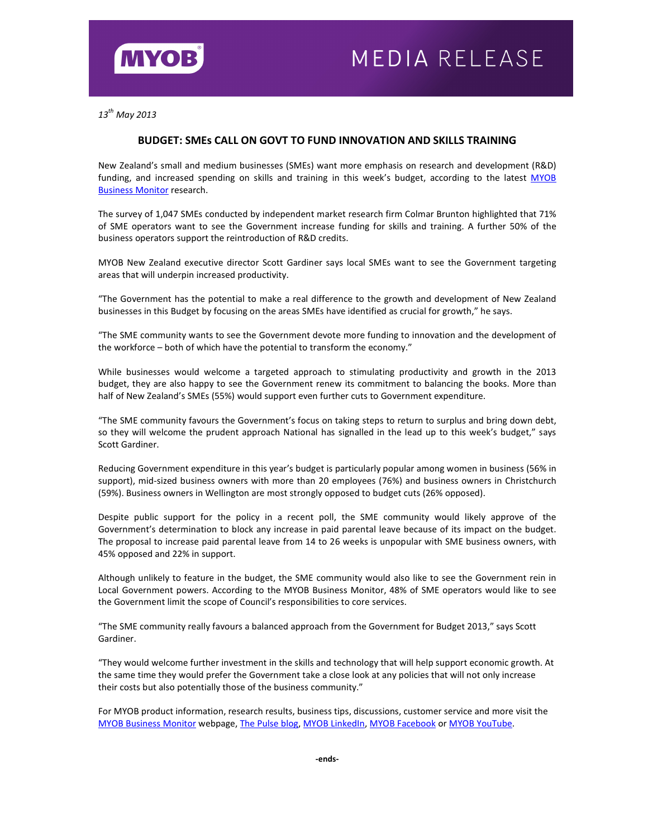

*13th May 2013*

# **BUDGET: SMEs CALL ON GOVT TO FUND INNOVATION AND SKILLS TRAINING**

New Zealand's small and medium businesses (SMEs) want more emphasis on research and development (R&D) funding, and increased spending on skills and training in this week's budget, according to the latest MYOB Business Monitor research.

The survey of 1,047 SMEs conducted by independent market research firm Colmar Brunton highlighted that 71% of SME operators want to see the Government increase funding for skills and training. A further 50% of the business operators support the reintroduction of R&D credits.

MYOB New Zealand executive director Scott Gardiner says local SMEs want to see the Government targeting areas that will underpin increased productivity.

"The Government has the potential to make a real difference to the growth and development of New Zealand businesses in this Budget by focusing on the areas SMEs have identified as crucial for growth," he says.

"The SME community wants to see the Government devote more funding to innovation and the development of the workforce – both of which have the potential to transform the economy."

While businesses would welcome a targeted approach to stimulating productivity and growth in the 2013 budget, they are also happy to see the Government renew its commitment to balancing the books. More than half of New Zealand's SMEs (55%) would support even further cuts to Government expenditure.

"The SME community favours the Government's focus on taking steps to return to surplus and bring down debt, so they will welcome the prudent approach National has signalled in the lead up to this week's budget," says Scott Gardiner.

Reducing Government expenditure in this year's budget is particularly popular among women in business (56% in support), mid-sized business owners with more than 20 employees (76%) and business owners in Christchurch (59%). Business owners in Wellington are most strongly opposed to budget cuts (26% opposed).

Despite public support for the policy in a recent poll, the SME community would likely approve of the Government's determination to block any increase in paid parental leave because of its impact on the budget. The proposal to increase paid parental leave from 14 to 26 weeks is unpopular with SME business owners, with 45% opposed and 22% in support.

Although unlikely to feature in the budget, the SME community would also like to see the Government rein in Local Government powers. According to the MYOB Business Monitor, 48% of SME operators would like to see the Government limit the scope of Council's responsibilities to core services.

"The SME community really favours a balanced approach from the Government for Budget 2013," says Scott Gardiner.

"They would welcome further investment in the skills and technology that will help support economic growth. At the same time they would prefer the Government take a close look at any policies that will not only increase their costs but also potentially those of the business community."

For MYOB product information, research results, business tips, discussions, customer service and more visit the MYOB Business Monitor webpage, The Pulse blog, MYOB LinkedIn, MYOB Facebook or MYOB YouTube.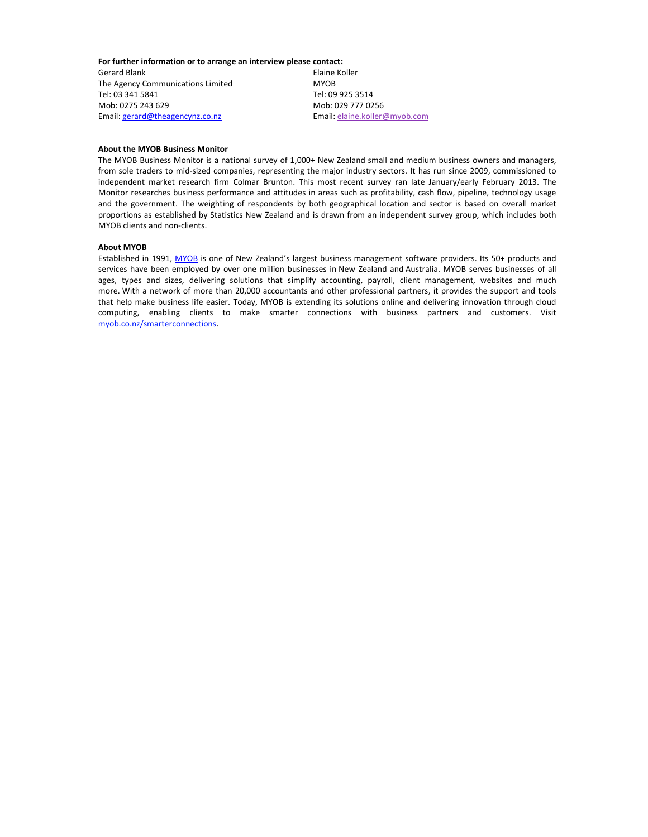**For further information or to arrange an interview please contact:** 

Gerard Blank **Elaine Koller** The Agency Communications Limited MYOB Tel: 03 341 5841 Tel: 09 925 3514 Mob: 0275 243 629 Mob: 029 777 0256 Email: gerard@theagencynz.co.nz Email: elaine.koller@myob.com

## **About the MYOB Business Monitor**

The MYOB Business Monitor is a national survey of 1,000+ New Zealand small and medium business owners and managers, from sole traders to mid-sized companies, representing the major industry sectors. It has run since 2009, commissioned to independent market research firm Colmar Brunton. This most recent survey ran late January/early February 2013. The Monitor researches business performance and attitudes in areas such as profitability, cash flow, pipeline, technology usage and the government. The weighting of respondents by both geographical location and sector is based on overall market proportions as established by Statistics New Zealand and is drawn from an independent survey group, which includes both MYOB clients and non-clients.

#### **About MYOB**

Established in 1991, MYOB is one of New Zealand's largest business management software providers. Its 50+ products and services have been employed by over one million businesses in New Zealand and Australia. MYOB serves businesses of all ages, types and sizes, delivering solutions that simplify accounting, payroll, client management, websites and much more. With a network of more than 20,000 accountants and other professional partners, it provides the support and tools that help make business life easier. Today, MYOB is extending its solutions online and delivering innovation through cloud computing, enabling clients to make smarter connections with business partners and customers. Visit myob.co.nz/smarterconnections.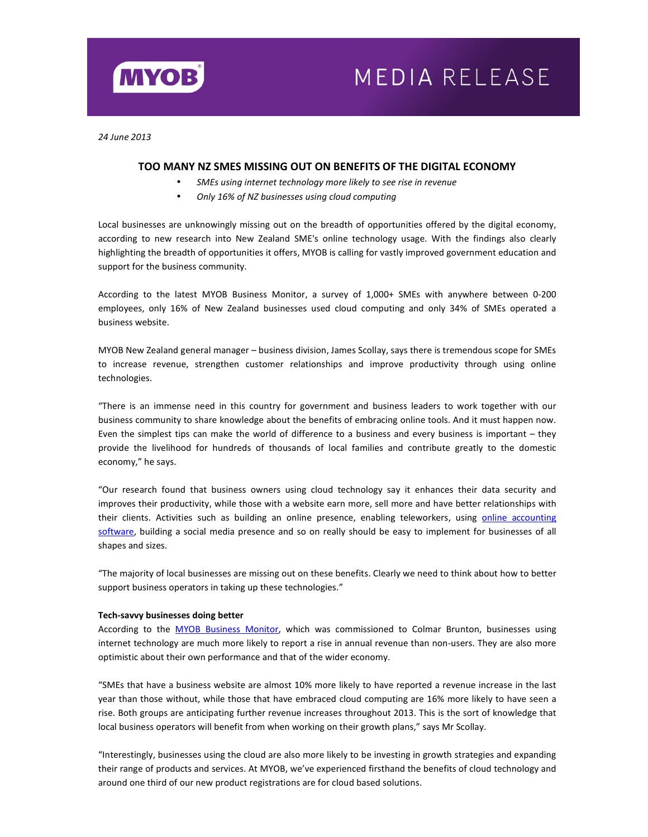

# MEDIA RELEASE

*24 June 2013* 

# **TOO MANY NZ SMES MISSING OUT ON BENEFITS OF THE DIGITAL ECONOMY**

- *SMEs using internet technology more likely to see rise in revenue*
- *Only 16% of NZ businesses using cloud computing*

Local businesses are unknowingly missing out on the breadth of opportunities offered by the digital economy, according to new research into New Zealand SME's online technology usage. With the findings also clearly highlighting the breadth of opportunities it offers, MYOB is calling for vastly improved government education and support for the business community.

According to the latest MYOB Business Monitor, a survey of 1,000+ SMEs with anywhere between 0-200 employees, only 16% of New Zealand businesses used cloud computing and only 34% of SMEs operated a business website.

MYOB New Zealand general manager – business division, James Scollay, says there is tremendous scope for SMEs to increase revenue, strengthen customer relationships and improve productivity through using online technologies.

"There is an immense need in this country for government and business leaders to work together with our business community to share knowledge about the benefits of embracing online tools. And it must happen now. Even the simplest tips can make the world of difference to a business and every business is important – they provide the livelihood for hundreds of thousands of local families and contribute greatly to the domestic economy," he says.

"Our research found that business owners using cloud technology say it enhances their data security and improves their productivity, while those with a website earn more, sell more and have better relationships with their clients. Activities such as building an online presence, enabling teleworkers, using online accounting software, building a social media presence and so on really should be easy to implement for businesses of all shapes and sizes.

"The majority of local businesses are missing out on these benefits. Clearly we need to think about how to better support business operators in taking up these technologies."

### **Tech-savvy businesses doing better**

According to the MYOB Business Monitor, which was commissioned to Colmar Brunton, businesses using internet technology are much more likely to report a rise in annual revenue than non-users. They are also more optimistic about their own performance and that of the wider economy.

"SMEs that have a business website are almost 10% more likely to have reported a revenue increase in the last year than those without, while those that have embraced cloud computing are 16% more likely to have seen a rise. Both groups are anticipating further revenue increases throughout 2013. This is the sort of knowledge that local business operators will benefit from when working on their growth plans," says Mr Scollay.

"Interestingly, businesses using the cloud are also more likely to be investing in growth strategies and expanding their range of products and services. At MYOB, we've experienced firsthand the benefits of cloud technology and around one third of our new product registrations are for cloud based solutions.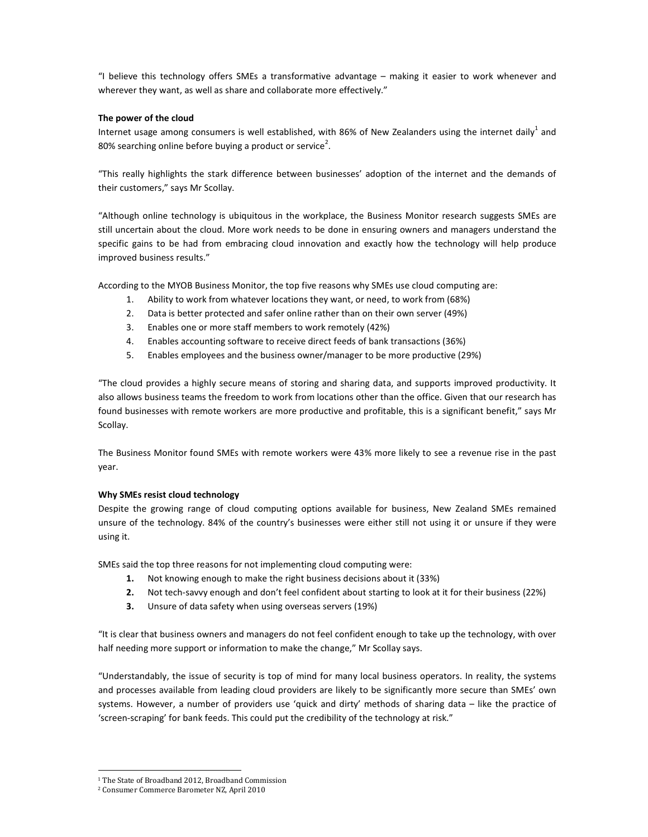"I believe this technology offers SMEs a transformative advantage – making it easier to work whenever and wherever they want, as well as share and collaborate more effectively."

# **The power of the cloud**

Internet usage among consumers is well established, with 86% of New Zealanders using the internet daily<sup>1</sup> and 80% searching online before buying a product or service<sup>2</sup>.

"This really highlights the stark difference between businesses' adoption of the internet and the demands of their customers," says Mr Scollay.

"Although online technology is ubiquitous in the workplace, the Business Monitor research suggests SMEs are still uncertain about the cloud. More work needs to be done in ensuring owners and managers understand the specific gains to be had from embracing cloud innovation and exactly how the technology will help produce improved business results."

According to the MYOB Business Monitor, the top five reasons why SMEs use cloud computing are:

- 1. Ability to work from whatever locations they want, or need, to work from (68%)
- 2. Data is better protected and safer online rather than on their own server (49%)
- 3. Enables one or more staff members to work remotely (42%)
- 4. Enables accounting software to receive direct feeds of bank transactions (36%)
- 5. Enables employees and the business owner/manager to be more productive (29%)

"The cloud provides a highly secure means of storing and sharing data, and supports improved productivity. It also allows business teams the freedom to work from locations other than the office. Given that our research has found businesses with remote workers are more productive and profitable, this is a significant benefit," says Mr Scollay.

The Business Monitor found SMEs with remote workers were 43% more likely to see a revenue rise in the past year.

# **Why SMEs resist cloud technology**

Despite the growing range of cloud computing options available for business, New Zealand SMEs remained unsure of the technology. 84% of the country's businesses were either still not using it or unsure if they were using it.

SMEs said the top three reasons for not implementing cloud computing were:

- **1.** Not knowing enough to make the right business decisions about it (33%)
- **2.** Not tech-savvy enough and don't feel confident about starting to look at it for their business (22%)
- **3.** Unsure of data safety when using overseas servers (19%)

"It is clear that business owners and managers do not feel confident enough to take up the technology, with over half needing more support or information to make the change," Mr Scollay says.

"Understandably, the issue of security is top of mind for many local business operators. In reality, the systems and processes available from leading cloud providers are likely to be significantly more secure than SMEs' own systems. However, a number of providers use 'quick and dirty' methods of sharing data – like the practice of 'screen-scraping' for bank feeds. This could put the credibility of the technology at risk."

 $\overline{\phantom{a}}$ 

<sup>&</sup>lt;sup>1</sup> The State of Broadband 2012, Broadband Commission

<sup>2</sup> Consumer Commerce Barometer NZ, April 2010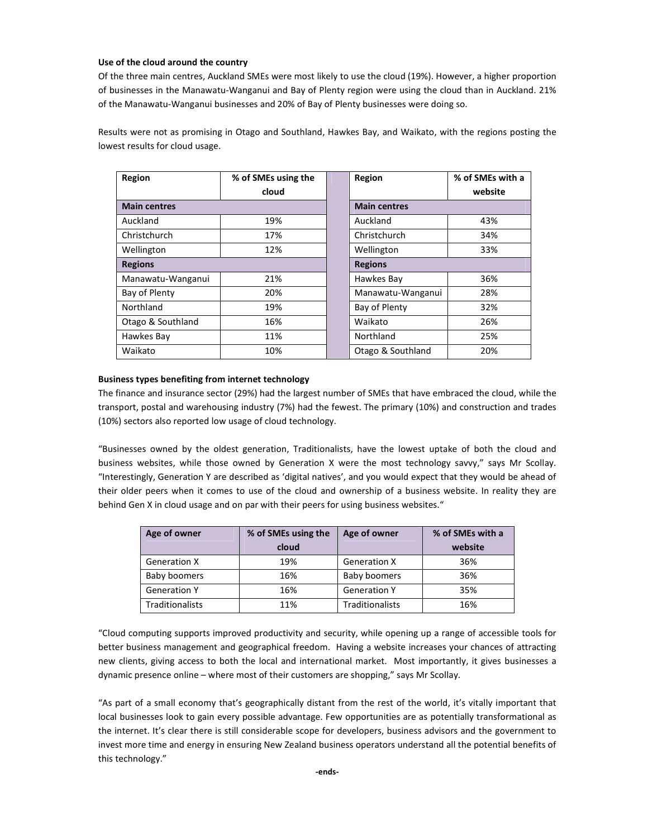## **Use of the cloud around the country**

Of the three main centres, Auckland SMEs were most likely to use the cloud (19%). However, a higher proportion of businesses in the Manawatu-Wanganui and Bay of Plenty region were using the cloud than in Auckland. 21% of the Manawatu-Wanganui businesses and 20% of Bay of Plenty businesses were doing so.

Results were not as promising in Otago and Southland, Hawkes Bay, and Waikato, with the regions posting the lowest results for cloud usage.

| Region              | % of SMEs using the | Region              | % of SMEs with a |
|---------------------|---------------------|---------------------|------------------|
|                     | cloud               |                     | website          |
| <b>Main centres</b> |                     | <b>Main centres</b> |                  |
| Auckland            | 19%                 | Auckland            | 43%              |
| Christchurch        | 17%                 | Christchurch        | 34%              |
| Wellington          | 12%                 | Wellington          | 33%              |
| <b>Regions</b>      |                     | <b>Regions</b>      |                  |
| Manawatu-Wanganui   | 21%                 | Hawkes Bay          | 36%              |
| Bay of Plenty       | 20%                 | Manawatu-Wanganui   | 28%              |
| Northland           | 19%                 | Bay of Plenty       | 32%              |
| Otago & Southland   | 16%                 | Waikato             | 26%              |
| Hawkes Bay          | 11%                 | Northland           | 25%              |
| Waikato             | 10%                 | Otago & Southland   | 20%              |

# **Business types benefiting from internet technology**

The finance and insurance sector (29%) had the largest number of SMEs that have embraced the cloud, while the transport, postal and warehousing industry (7%) had the fewest. The primary (10%) and construction and trades (10%) sectors also reported low usage of cloud technology.

"Businesses owned by the oldest generation, Traditionalists, have the lowest uptake of both the cloud and business websites, while those owned by Generation X were the most technology savvy," says Mr Scollay. "Interestingly, Generation Y are described as 'digital natives', and you would expect that they would be ahead of their older peers when it comes to use of the cloud and ownership of a business website. In reality they are behind Gen X in cloud usage and on par with their peers for using business websites."

| Age of owner           | % of SMEs using the<br>cloud | Age of owner           | % of SMEs with a<br>website |
|------------------------|------------------------------|------------------------|-----------------------------|
| <b>Generation X</b>    | 19%                          | <b>Generation X</b>    | 36%                         |
| Baby boomers           | 16%                          | Baby boomers           | 36%                         |
| <b>Generation Y</b>    | 16%                          | <b>Generation Y</b>    | 35%                         |
| <b>Traditionalists</b> | 11%                          | <b>Traditionalists</b> | 16%                         |

"Cloud computing supports improved productivity and security, while opening up a range of accessible tools for better business management and geographical freedom. Having a website increases your chances of attracting new clients, giving access to both the local and international market. Most importantly, it gives businesses a dynamic presence online – where most of their customers are shopping," says Mr Scollay.

"As part of a small economy that's geographically distant from the rest of the world, it's vitally important that local businesses look to gain every possible advantage. Few opportunities are as potentially transformational as the internet. It's clear there is still considerable scope for developers, business advisors and the government to invest more time and energy in ensuring New Zealand business operators understand all the potential benefits of this technology."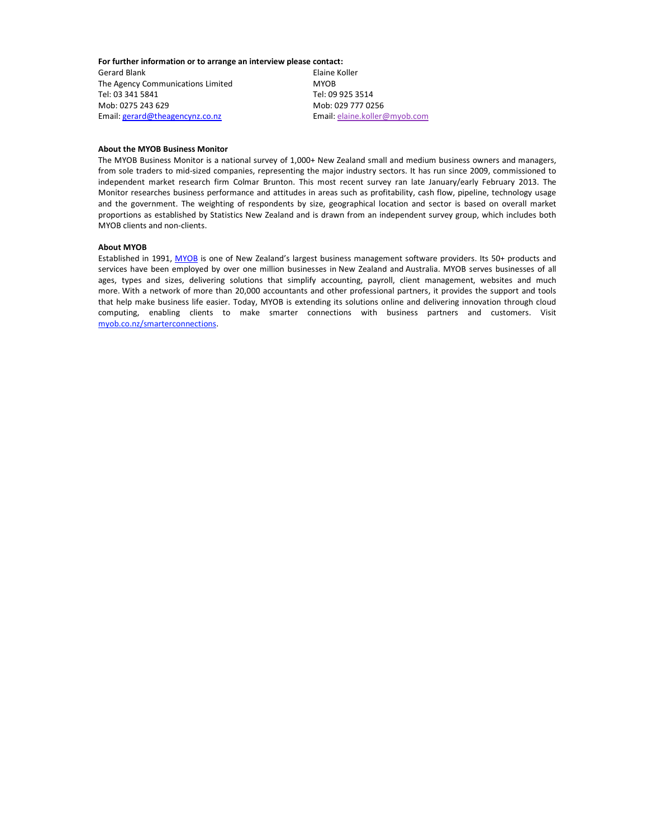**For further information or to arrange an interview please contact:** 

Gerard Blank **Elaine Koller** The Agency Communications Limited MYOB Tel: 03 341 5841 Tel: 09 925 3514 Mob: 0275 243 629 Mob: 029 777 0256 Email: gerard@theagencynz.co.nz Email: elaine.koller@myob.com

## **About the MYOB Business Monitor**

The MYOB Business Monitor is a national survey of 1,000+ New Zealand small and medium business owners and managers, from sole traders to mid-sized companies, representing the major industry sectors. It has run since 2009, commissioned to independent market research firm Colmar Brunton. This most recent survey ran late January/early February 2013. The Monitor researches business performance and attitudes in areas such as profitability, cash flow, pipeline, technology usage and the government. The weighting of respondents by size, geographical location and sector is based on overall market proportions as established by Statistics New Zealand and is drawn from an independent survey group, which includes both MYOB clients and non-clients.

#### **About MYOB**

Established in 1991, MYOB is one of New Zealand's largest business management software providers. Its 50+ products and services have been employed by over one million businesses in New Zealand and Australia. MYOB serves businesses of all ages, types and sizes, delivering solutions that simplify accounting, payroll, client management, websites and much more. With a network of more than 20,000 accountants and other professional partners, it provides the support and tools that help make business life easier. Today, MYOB is extending its solutions online and delivering innovation through cloud computing, enabling clients to make smarter connections with business partners and customers. Visit myob.co.nz/smarterconnections.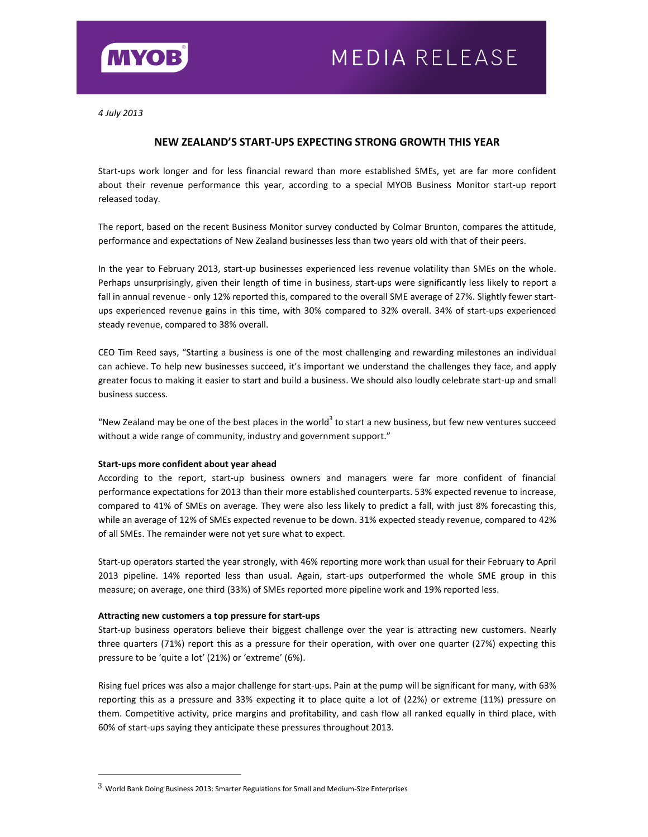

*4 July 2013* 

# **NEW ZEALAND'S START-UPS EXPECTING STRONG GROWTH THIS YEAR**

Start-ups work longer and for less financial reward than more established SMEs, yet are far more confident about their revenue performance this year, according to a special MYOB Business Monitor start-up report released today.

The report, based on the recent Business Monitor survey conducted by Colmar Brunton, compares the attitude, performance and expectations of New Zealand businesses less than two years old with that of their peers.

In the year to February 2013, start-up businesses experienced less revenue volatility than SMEs on the whole. Perhaps unsurprisingly, given their length of time in business, start-ups were significantly less likely to report a fall in annual revenue - only 12% reported this, compared to the overall SME average of 27%. Slightly fewer startups experienced revenue gains in this time, with 30% compared to 32% overall. 34% of start-ups experienced steady revenue, compared to 38% overall.

CEO Tim Reed says, "Starting a business is one of the most challenging and rewarding milestones an individual can achieve. To help new businesses succeed, it's important we understand the challenges they face, and apply greater focus to making it easier to start and build a business. We should also loudly celebrate start-up and small business success.

"New Zealand may be one of the best places in the world<sup>3</sup> to start a new business, but few new ventures succeed without a wide range of community, industry and government support."

## **Start-ups more confident about year ahead**

According to the report, start-up business owners and managers were far more confident of financial performance expectations for 2013 than their more established counterparts. 53% expected revenue to increase, compared to 41% of SMEs on average. They were also less likely to predict a fall, with just 8% forecasting this, while an average of 12% of SMEs expected revenue to be down. 31% expected steady revenue, compared to 42% of all SMEs. The remainder were not yet sure what to expect.

Start-up operators started the year strongly, with 46% reporting more work than usual for their February to April 2013 pipeline. 14% reported less than usual. Again, start-ups outperformed the whole SME group in this measure; on average, one third (33%) of SMEs reported more pipeline work and 19% reported less.

## **Attracting new customers a top pressure for start-ups**

1

Start-up business operators believe their biggest challenge over the year is attracting new customers. Nearly three quarters (71%) report this as a pressure for their operation, with over one quarter (27%) expecting this pressure to be 'quite a lot' (21%) or 'extreme' (6%).

Rising fuel prices was also a major challenge for start-ups. Pain at the pump will be significant for many, with 63% reporting this as a pressure and 33% expecting it to place quite a lot of (22%) or extreme (11%) pressure on them. Competitive activity, price margins and profitability, and cash flow all ranked equally in third place, with 60% of start-ups saying they anticipate these pressures throughout 2013.

<sup>3</sup> World Bank Doing Business 2013: Smarter Regulations for Small and Medium-Size Enterprises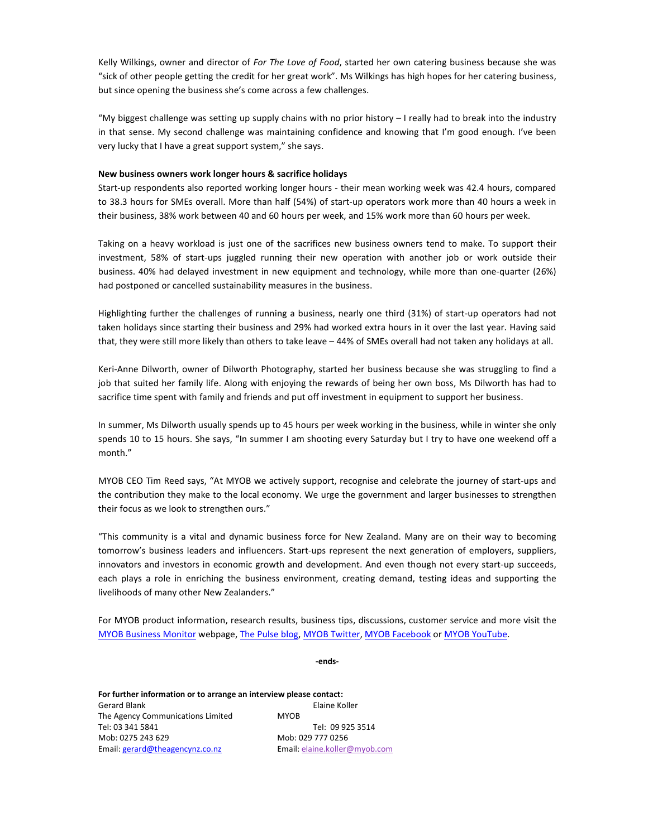Kelly Wilkings, owner and director of *For The Love of Food*, started her own catering business because she was "sick of other people getting the credit for her great work". Ms Wilkings has high hopes for her catering business, but since opening the business she's come across a few challenges.

"My biggest challenge was setting up supply chains with no prior history – I really had to break into the industry in that sense. My second challenge was maintaining confidence and knowing that I'm good enough. I've been very lucky that I have a great support system," she says.

## **New business owners work longer hours & sacrifice holidays**

Start-up respondents also reported working longer hours - their mean working week was 42.4 hours, compared to 38.3 hours for SMEs overall. More than half (54%) of start-up operators work more than 40 hours a week in their business, 38% work between 40 and 60 hours per week, and 15% work more than 60 hours per week.

Taking on a heavy workload is just one of the sacrifices new business owners tend to make. To support their investment, 58% of start-ups juggled running their new operation with another job or work outside their business. 40% had delayed investment in new equipment and technology, while more than one-quarter (26%) had postponed or cancelled sustainability measures in the business.

Highlighting further the challenges of running a business, nearly one third (31%) of start-up operators had not taken holidays since starting their business and 29% had worked extra hours in it over the last year. Having said that, they were still more likely than others to take leave – 44% of SMEs overall had not taken any holidays at all.

Keri-Anne Dilworth, owner of Dilworth Photography, started her business because she was struggling to find a job that suited her family life. Along with enjoying the rewards of being her own boss, Ms Dilworth has had to sacrifice time spent with family and friends and put off investment in equipment to support her business.

In summer, Ms Dilworth usually spends up to 45 hours per week working in the business, while in winter she only spends 10 to 15 hours. She says, "In summer I am shooting every Saturday but I try to have one weekend off a month."

MYOB CEO Tim Reed says, "At MYOB we actively support, recognise and celebrate the journey of start-ups and the contribution they make to the local economy. We urge the government and larger businesses to strengthen their focus as we look to strengthen ours."

"This community is a vital and dynamic business force for New Zealand. Many are on their way to becoming tomorrow's business leaders and influencers. Start-ups represent the next generation of employers, suppliers, innovators and investors in economic growth and development. And even though not every start-up succeeds, each plays a role in enriching the business environment, creating demand, testing ideas and supporting the livelihoods of many other New Zealanders."

For MYOB product information, research results, business tips, discussions, customer service and more visit the MYOB Business Monitor webpage, The Pulse blog, MYOB Twitter, MYOB Facebook or MYOB YouTube.

**-ends-**

**For further information or to arrange an interview please contact:**  Gerard Blank **Elaine Koller** The Agency Communications Limited MYOB Tel: 03 341 5841 Tel: 09 925 3514 Mob: 0275 243 629 Mob: 029 777 0256 Email: gerard@theagencynz.co.nz Email: elaine.koller@myob.com